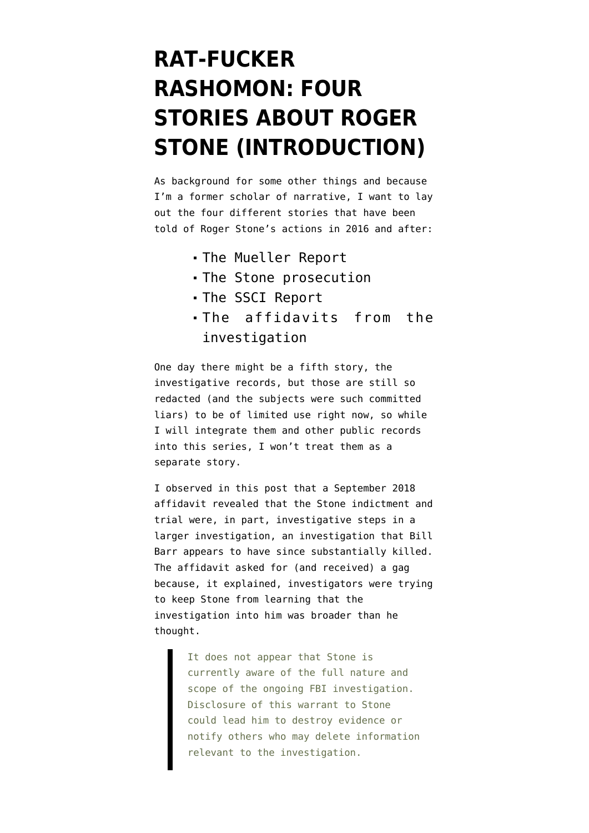# **[RAT-FUCKER](https://www.emptywheel.net/2020/10/13/rat-fucker-rashomon-four-stories-about-roger-stone-introduction/) [RASHOMON: FOUR](https://www.emptywheel.net/2020/10/13/rat-fucker-rashomon-four-stories-about-roger-stone-introduction/) [STORIES ABOUT ROGER](https://www.emptywheel.net/2020/10/13/rat-fucker-rashomon-four-stories-about-roger-stone-introduction/) [STONE \(INTRODUCTION\)](https://www.emptywheel.net/2020/10/13/rat-fucker-rashomon-four-stories-about-roger-stone-introduction/)**

As background for some other things and because I'm a former scholar of narrative, I want to lay out the four different stories that have been told of Roger Stone's actions in 2016 and after:

- [The Mueller Report](https://beta.documentcloud.org/documents/6953612-200619-Mueller-Volume-1)
- [The Stone prosecution](https://www.documentcloud.org/search/Project:%20%22Roger%20Stone%20Trial%22)
- The [SSCI Report](https://beta.documentcloud.org/documents/7039357-200818-SSCI-Russia-Report)
- The [affidavits](https://www.emptywheel.net/2020/05/01/the-roger-stone-prosecution-was-one-step-in-an-ongoing-investigation/) from the investigation

One day there might be a fifth story, the investigative records, but those are still so redacted (and the subjects were such committed liars) to be of limited use right now, so while I will integrate them and other public records into this series, I won't treat them as a separate story.

I observed [in this post](https://www.emptywheel.net/2020/05/01/the-roger-stone-prosecution-was-one-step-in-an-ongoing-investigation/) that a September 2018 affidavit [revealed](https://beta.documentcloud.org/documents/6879602-1800927-Mystery-Twitter-2#document/p16/a562125) that the Stone indictment and trial were, in part, investigative steps in a larger investigation, an investigation that Bill Barr appears to have since substantially killed. The affidavit asked for (and received) a gag because, it explained, investigators were trying to keep Stone from learning that the investigation into him was broader than he thought.

> It does not appear that Stone is currently aware of the full nature and scope of the ongoing FBI investigation. Disclosure of this warrant to Stone could lead him to destroy evidence or notify others who may delete information relevant to the investigation.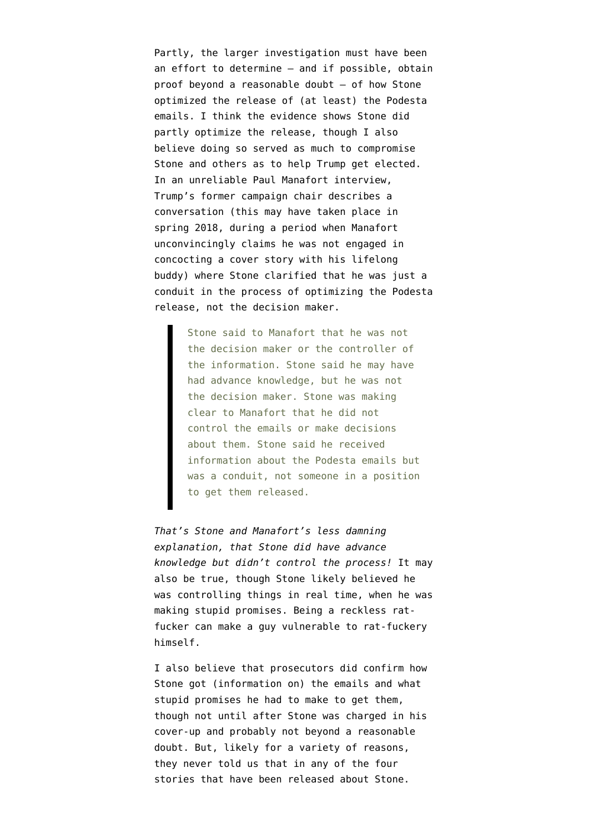Partly, the larger investigation must have been an effort to determine — and if possible, obtain proof beyond a reasonable doubt — of how Stone optimized the release of (at least) the Podesta emails. I think the evidence shows Stone did partly optimize the release, though I also believe doing so served as much to compromise Stone and others as to help Trump get elected. In [an unreliable Paul Manafort interview,](https://beta.documentcloud.org/documents/20386702-10th-mueller-document-foia-release#document/p539/a2001479) Trump's former campaign chair describes a conversation (this may have taken place in spring 2018, during a period when Manafort unconvincingly claims he was not engaged in concocting a cover story with his lifelong buddy) where Stone clarified that he was just a conduit in the process of optimizing the Podesta release, not the decision maker.

> Stone said to Manafort that he was not the decision maker or the controller of the information. Stone said he may have had advance knowledge, but he was not the decision maker. Stone was making clear to Manafort that he did not control the emails or make decisions about them. Stone said he received information about the Podesta emails but was a conduit, not someone in a position to get them released.

*That's Stone and Manafort's less damning explanation, that Stone did have advance knowledge but didn't control the process!* It may also be true, though Stone likely believed he was controlling things in real time, when he was making stupid promises. Being a reckless ratfucker can make a guy vulnerable to rat-fuckery himself.

I also believe that prosecutors did confirm how Stone got (information on) the emails and what stupid promises he had to make to get them, though not until after Stone was charged in his cover-up and probably not beyond a reasonable doubt. But, likely for a variety of reasons, they never told us that in any of the four stories that have been released about Stone.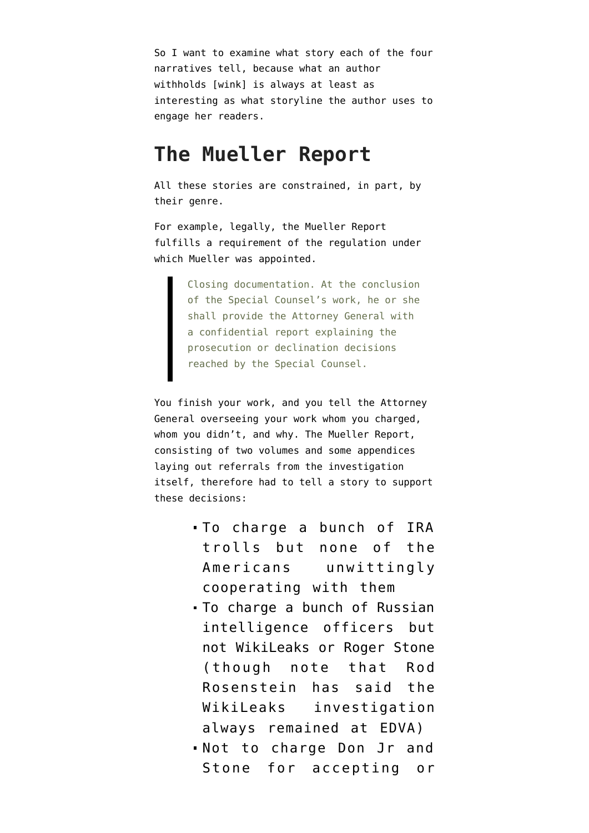So I want to examine what story each of the four narratives tell, because what an author withholds [wink] is always at least as interesting as what storyline the author uses to engage her readers.

#### **The Mueller Report**

All these stories are constrained, in part, by their genre.

For example, legally, the Mueller Report fulfills a [requirement](https://www.law.cornell.edu/cfr/text/28/600.8) of the regulation under which Mueller was appointed.

> Closing documentation. At the conclusion of the Special Counsel's work, he or she shall provide the Attorney General with a confidential report explaining the prosecution or declination decisions reached by the Special Counsel.

You finish your work, and you tell the Attorney General overseeing your work whom you charged, whom you didn't, and why. The Mueller Report, consisting of two volumes and some appendices laying out referrals from the investigation itself, therefore had to tell a story to support these decisions:

- To charge a bunch of IRA trolls but none of the Americans unwittingly cooperating with them
- To charge a bunch of Russian intelligence officers but not WikiLeaks or Roger Stone (though note that Rod Rosenstein has said the WikiLeaks investigation always remained at EDVA)
- Not to charge Don Jr and Stone for accepting or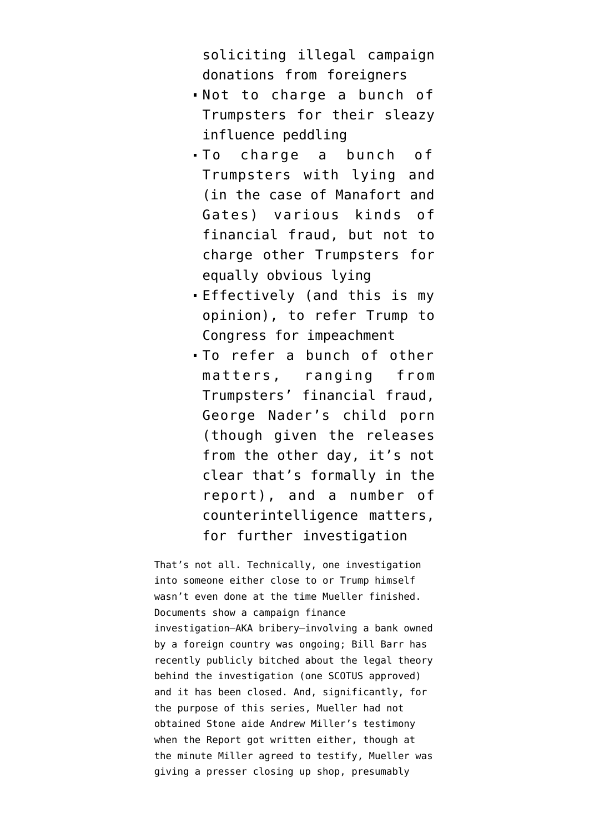soliciting illegal campaign donations from foreigners

- Not to charge a bunch of Trumpsters for their sleazy influence peddling
- To charge a bunch of Trumpsters with lying and (in the case of Manafort and Gates) various kinds of financial fraud, but not to charge other Trumpsters for equally obvious lying
- Effectively (and this is my opinion), to refer Trump to Congress for impeachment
- To refer a bunch of other matters, ranging from Trumpsters' financial fraud, George Nader's child porn (though given the releases from the other day, it's not clear that's formally in the report), and a number of counterintelligence matters, for further investigation

That's not all. Technically, one investigation into someone either close to or Trump himself wasn't even done at the time Mueller finished. [Documents show](https://www.emptywheel.net/2020/09/18/the-closed-mueller-investigations-erik-prince-skates-on-the-seychelles/) a campaign finance investigation–AKA bribery–involving a bank owned by a foreign country was ongoing; Bill Barr has recently publicly bitched about the legal theory behind the investigation (one SCOTUS approved) and it has been closed. And, significantly, for the purpose of this series, Mueller had not obtained Stone aide Andrew Miller's testimony when the Report got written either, though at the minute Miller agreed to testify, Mueller was giving a presser closing up shop, presumably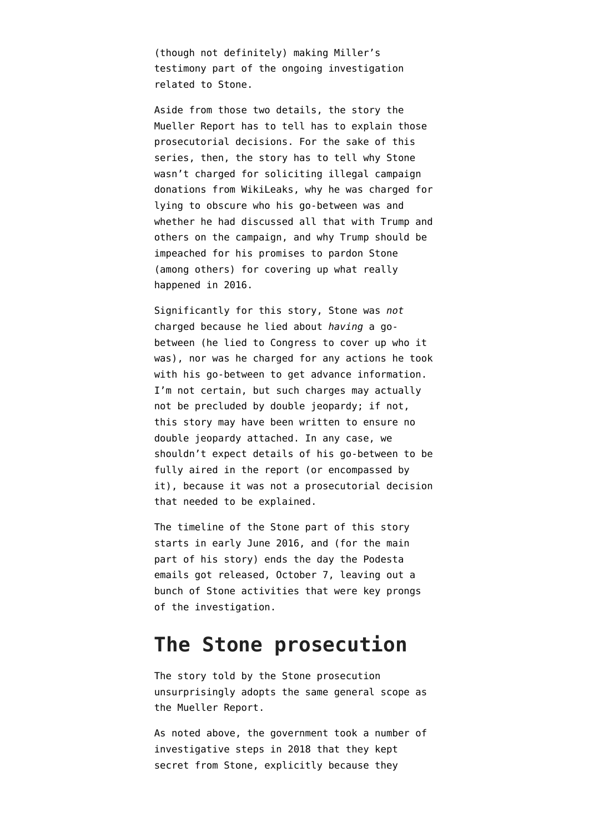(though not definitely) making Miller's testimony part of the ongoing investigation related to Stone.

Aside from those two details, the story the Mueller Report has to tell has to explain those prosecutorial decisions. For the sake of this series, then, the story has to tell why Stone wasn't charged for soliciting illegal campaign donations from WikiLeaks, why he was charged for lying to obscure who his go-between was and whether he had discussed all that with Trump and others on the campaign, and why Trump should be impeached for his promises to pardon Stone (among others) for covering up what really happened in 2016.

Significantly for this story, Stone was *not* charged because he lied about *having* a gobetween (he lied to Congress to cover up who it was), nor was he charged for any actions he took with his go-between to get advance information. I'm not certain, but such charges may actually not be precluded by double jeopardy; if not, this story may have been written to ensure no double jeopardy attached. In any case, we shouldn't expect details of his go-between to be fully aired in the report (or encompassed by it), because it was not a prosecutorial decision that needed to be explained.

The timeline of the Stone part of this story starts in early June 2016, and (for the main part of his story) ends the day the Podesta emails got released, October 7, leaving out a bunch of Stone activities that were key prongs of the investigation.

### **The Stone prosecution**

The story told by the Stone prosecution unsurprisingly adopts the same general scope as the Mueller Report.

As noted above, the government took a number of investigative steps in 2018 that they kept secret from Stone, explicitly because they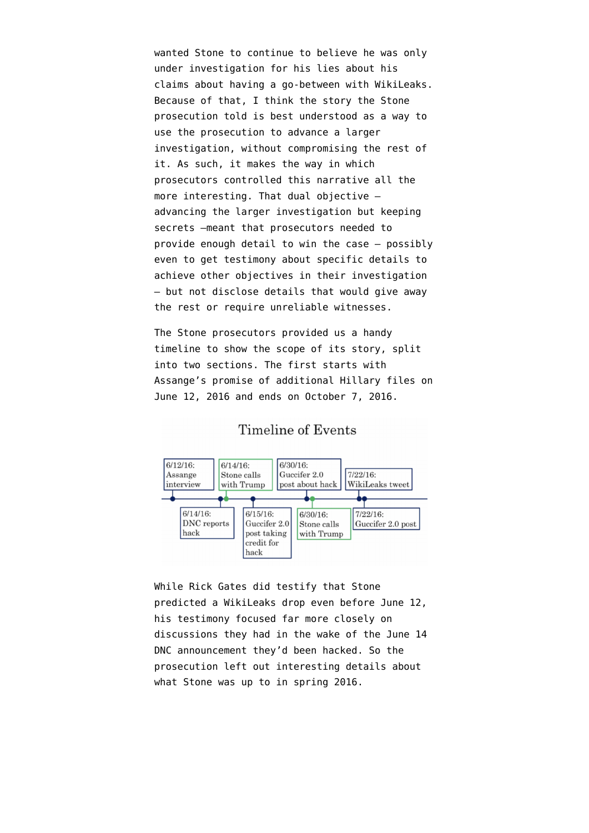wanted Stone to continue to believe he was only under investigation for his lies about his claims about having a go-between with WikiLeaks. Because of that, I think the story the Stone prosecution told is best understood as a way to use the prosecution to advance a larger investigation, without compromising the rest of it. As such, it makes the way in which prosecutors controlled this narrative all the more interesting. That dual objective advancing the larger investigation but keeping secrets –meant that prosecutors needed to provide enough detail to win the case — possibly even to get testimony about specific details to achieve other objectives in their investigation — but not disclose details that would give away the rest or require unreliable witnesses.

The Stone prosecutors provided us a handy [timeline](https://www.documentcloud.org/documents/7213997-191107-Stone-Timeline.html) to show the scope of its story, split into two sections. The first starts with Assange's promise of additional Hillary files on June 12, 2016 and ends on October 7, 2016.



Timeline of Events

While Rick Gates did testify that Stone predicted a WikiLeaks drop even before June 12, his testimony focused far more closely on discussions they had in the wake of the June 14 DNC announcement they'd been hacked. So the prosecution left out interesting details about what Stone was up to in spring 2016.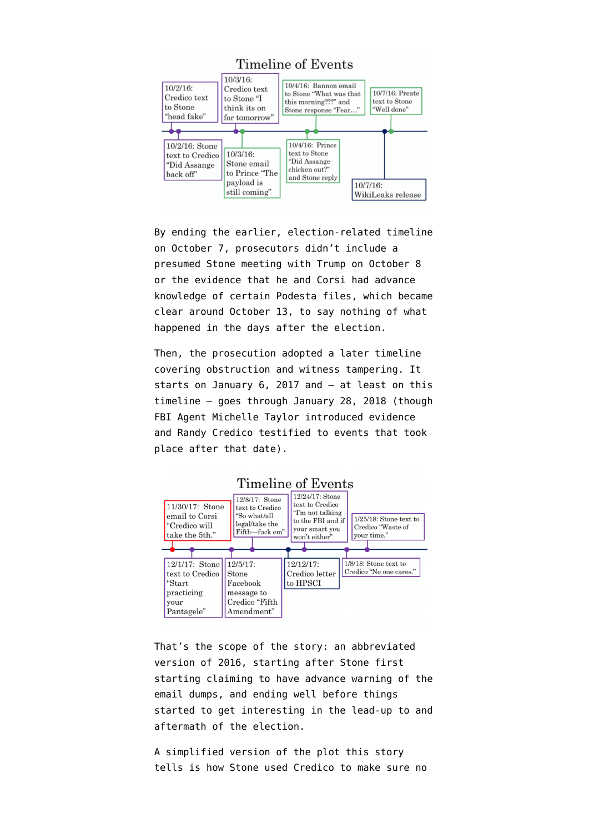

By ending the earlier, election-related timeline on October 7, prosecutors didn't include a presumed Stone meeting with Trump on October 8 or the evidence that he and Corsi had advance knowledge of certain Podesta files, which became clear around October 13, to say nothing of [what](https://www.emptywheel.net/2020/09/19/randy-credico-refuses-to-answer-whether-roger-stone-called-him-about-an-assange-pardon-on-november-9-2016/) [happened in the days after the election.](https://www.emptywheel.net/2020/09/19/randy-credico-refuses-to-answer-whether-roger-stone-called-him-about-an-assange-pardon-on-november-9-2016/)

Then, the prosecution adopted a later timeline covering obstruction and witness tampering. It starts on January 6, 2017 and — at least on this timeline — goes through January 28, 2018 (though FBI Agent Michelle Taylor introduced evidence and Randy Credico testified to events that took place after that date).



#### Timeline of Events

That's the scope of the story: an abbreviated version of 2016, starting after Stone first starting claiming to have advance warning of the email dumps, and ending well before things started to get interesting in the lead-up to and aftermath of the election.

A simplified version of the plot this story tells is how Stone used Credico to make sure no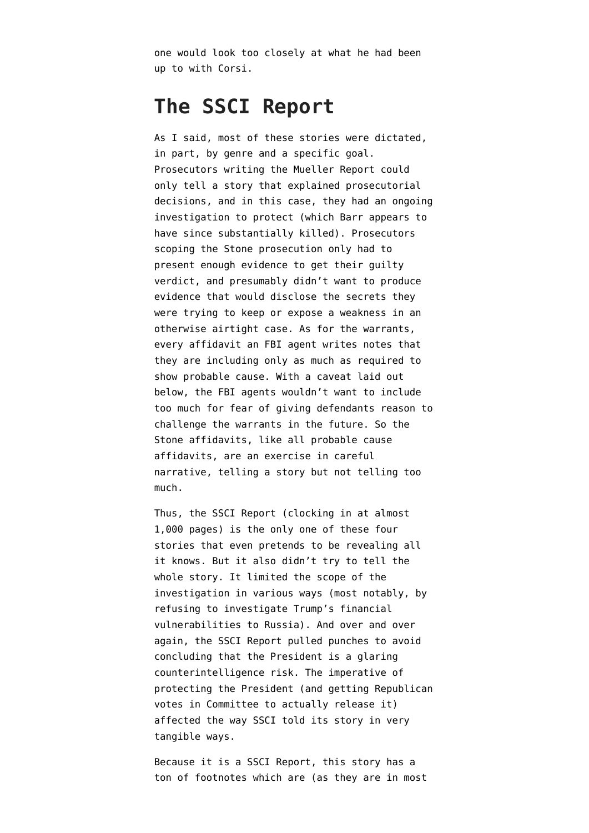one would look too closely at what he had been up to with Corsi.

#### **The SSCI Report**

As I said, most of these stories were dictated, in part, by genre and a specific goal. Prosecutors writing the Mueller Report could only tell a story that explained prosecutorial decisions, and in this case, they had an ongoing investigation to protect (which Barr appears to have since substantially killed). Prosecutors scoping the Stone prosecution only had to present enough evidence to get their guilty verdict, and presumably didn't want to produce evidence that would disclose the secrets they were trying to keep or expose a weakness in an otherwise airtight case. As for the warrants, every affidavit an FBI agent writes notes that they are including only as much as required to show probable cause. With a caveat laid out below, the FBI agents wouldn't want to include too much for fear of giving defendants reason to challenge the warrants in the future. So the Stone affidavits, like all probable cause affidavits, are an exercise in careful narrative, telling a story but not telling too much.

Thus, the SSCI Report (clocking in at almost 1,000 pages) is the only one of these four stories that even pretends to be revealing all it knows. But it also didn't try to tell the whole story. It limited the scope of the investigation in various ways (most notably, by refusing to investigate Trump's financial vulnerabilities to Russia). And over and over again, the SSCI Report pulled punches to avoid concluding that the President is a glaring counterintelligence risk. The imperative of protecting the President (and getting Republican votes in Committee to actually release it) affected the way SSCI told its story in very tangible ways.

Because it is a SSCI Report, this story has a ton of footnotes which are (as they are in most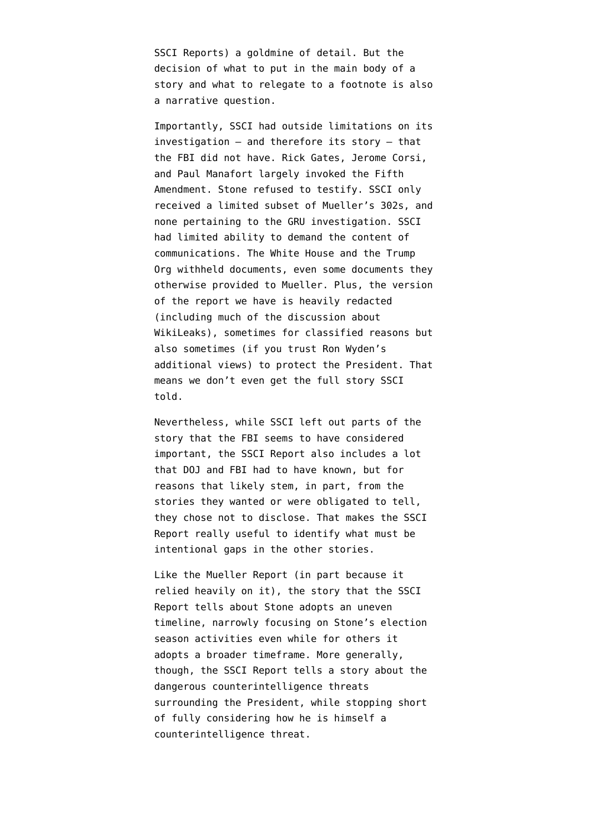SSCI Reports) a goldmine of detail. But the decision of what to put in the main body of a story and what to relegate to a footnote is also a narrative question.

Importantly, SSCI had outside limitations on its investigation — and therefore its story — that the FBI did not have. Rick Gates, Jerome Corsi, and Paul Manafort largely invoked the Fifth Amendment. Stone refused to testify. SSCI only received a limited subset of Mueller's 302s, and none pertaining to the GRU investigation. SSCI had limited ability to demand the content of communications. The White House and the Trump Org withheld documents, even some documents they otherwise provided to Mueller. Plus, the version of the report we have is heavily redacted (including much of the discussion about WikiLeaks), sometimes for classified reasons but also sometimes (if you trust Ron Wyden's additional views) to protect the President. That means we don't even get the full story SSCI told.

Nevertheless, while SSCI left out parts of the story that the FBI seems to have considered important, the SSCI Report also includes a lot that DOJ and FBI had to have known, but for reasons that likely stem, in part, from the stories they wanted or were obligated to tell, they chose not to disclose. That makes the SSCI Report really useful to identify what must be intentional gaps in the other stories.

Like the Mueller Report (in part because it relied heavily on it), the story that the SSCI Report tells about Stone adopts an uneven timeline, narrowly focusing on Stone's election season activities even while for others it adopts a broader timeframe. More generally, though, the SSCI Report tells a story about the dangerous counterintelligence threats surrounding the President, while stopping short of fully considering how he is himself a counterintelligence threat.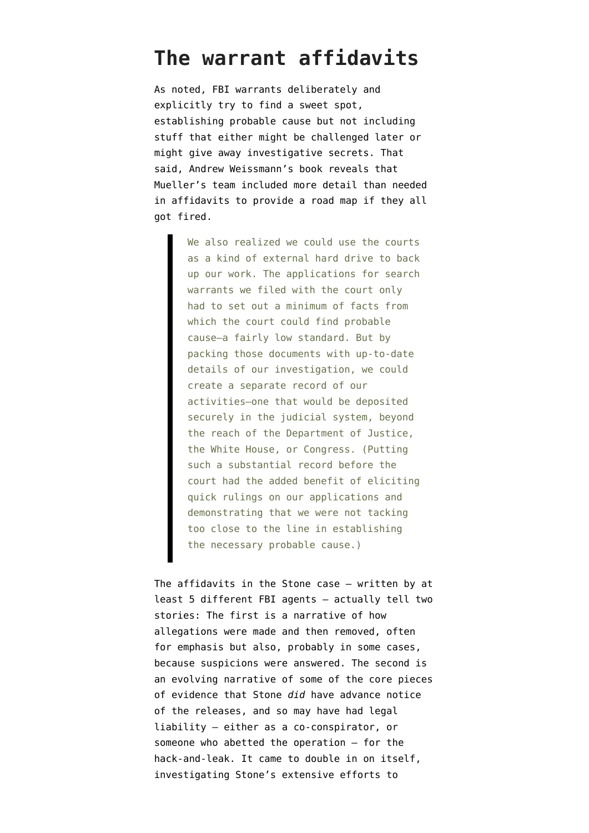### **The warrant affidavits**

As noted, FBI warrants deliberately and explicitly try to find a sweet spot, establishing probable cause but not including stuff that either might be challenged later or might give away investigative secrets. That said, [Andrew Weissmann's book](https://www.amazon.com/Where-Law-Ends-Mueller-Investigation-ebook/dp/B08D8JJS3G/) reveals that Mueller's team included more detail than needed in affidavits to provide a road map if they all got fired.

> We also realized we could use the courts as a kind of external hard drive to back up our work. The applications for search warrants we filed with the court only had to set out a minimum of facts from which the court could find probable cause—a fairly low standard. But by packing those documents with up-to-date details of our investigation, we could create a separate record of our activities—one that would be deposited securely in the judicial system, beyond the reach of the Department of Justice, the White House, or Congress. (Putting such a substantial record before the court had the added benefit of eliciting quick rulings on our applications and demonstrating that we were not tacking too close to the line in establishing the necessary probable cause.)

The affidavits in the Stone case — written by at least 5 different FBI agents — actually tell two stories: The first is a narrative of how allegations were made and then removed, often for emphasis but also, probably in some cases, because suspicions were answered. The second is an evolving narrative of some of the core pieces of evidence that Stone *did* have advance notice of the releases, and so may have had legal liability — either as a co-conspirator, or someone who abetted the operation — for the hack-and-leak. It came to double in on itself, investigating Stone's extensive efforts to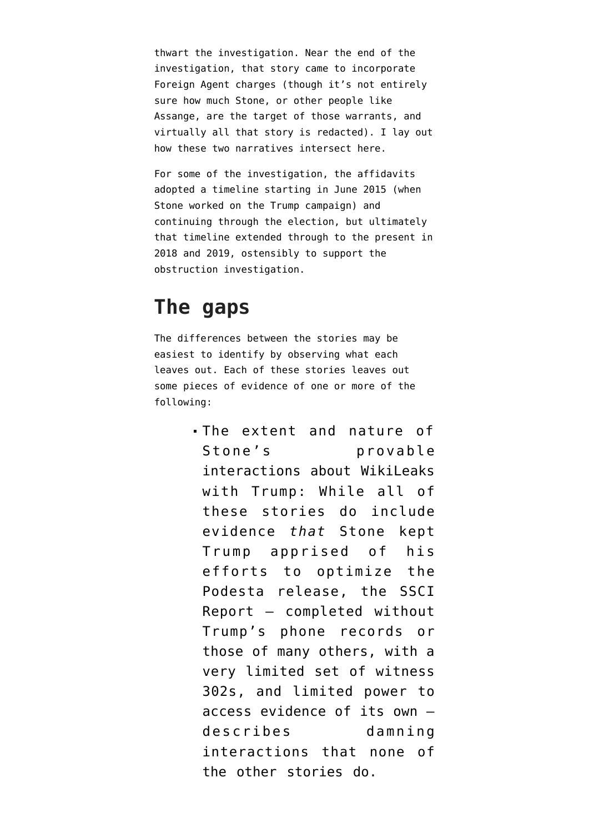thwart the investigation. Near the end of the investigation, that story came to incorporate Foreign Agent charges (though it's not entirely sure how much Stone, or other people like Assange, are the target of those warrants, and virtually all that story is redacted). I lay out [how these two narratives intersect here.](https://www.emptywheel.net/2020/05/01/the-roger-stone-prosecution-was-one-step-in-an-ongoing-investigation/)

For some of the investigation, the affidavits adopted a timeline starting in June 2015 (when Stone worked on the Trump campaign) and continuing through the election, but ultimately that timeline extended through to the present in 2018 and 2019, ostensibly to support the obstruction investigation.

#### **The gaps**

The differences between the stories may be easiest to identify by observing what each leaves out. Each of these stories leaves out some pieces of evidence of one or more of the following:

> The extent and nature of Stone's provable interactions about WikiLeaks with Trump: While all of these stories do include evidence *that* Stone kept Trump apprised of his efforts to optimize the Podesta release, the SSCI Report — completed without Trump's phone records or those of many others, with a very limited set of witness 302s, and limited power to access evidence of its own describes damning interactions that none of the other stories do.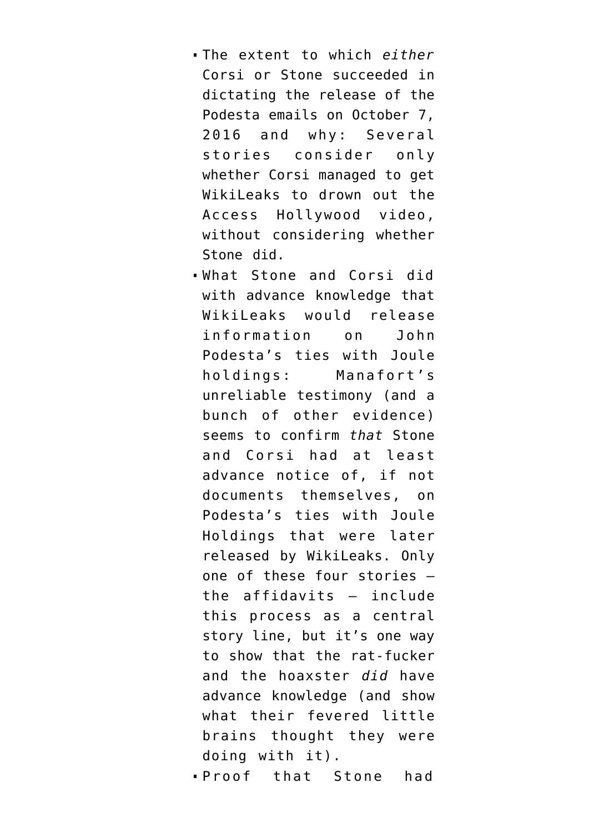- The extent to which *either* Corsi or Stone succeeded in dictating the release of the Podesta emails on October 7, 2016 and why: Several stories consider only whether Corsi managed to get WikiLeaks to drown out the Access Hollywood video, without considering whether Stone did.
- What Stone and Corsi did with advance knowledge that WikiLeaks would release information on John Podesta's ties with Joule holdings: Manafort's unreliable testimony (and a bunch of other evidence) seems to confirm *that* [Stone](https://www.emptywheel.net/2018/10/22/detour-roger-stones-epically-shitty-explanation-for-his-podesta-tweet/) [and Corsi had at least](https://www.emptywheel.net/2018/10/22/detour-roger-stones-epically-shitty-explanation-for-his-podesta-tweet/) [advance notice](https://www.emptywheel.net/2018/10/22/detour-roger-stones-epically-shitty-explanation-for-his-podesta-tweet/) of, if not documents themselves, on Podesta's ties with Joule Holdings that were later released by WikiLeaks. Only one of these four stories the affidavits — include this process as a central story line, but it's one way to show that the rat-fucker and the hoaxster *did* have advance knowledge (and show what their fevered little brains thought they were doing with it).

Proof that Stone had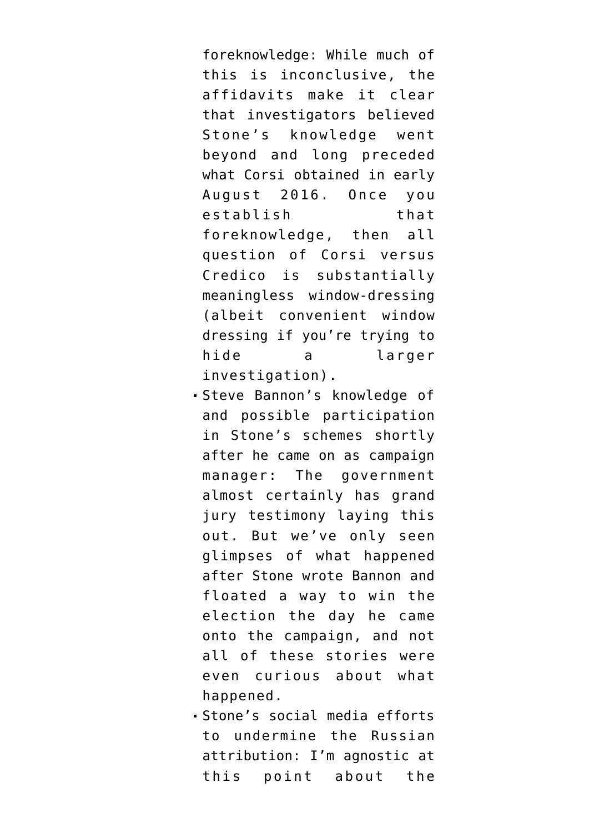foreknowledge: While much of this is inconclusive, the affidavits make it clear that investigators believed Stone's knowledge went beyond and long preceded what Corsi obtained in early August 2016. Once you establish that foreknowledge, then all question of Corsi versus Credico is substantially meaningless window-dressing (albeit convenient window dressing if you're trying to hide a larger investigation).

- Steve Bannon's knowledge of and possible participation in Stone's schemes shortly after he came on as campaign manager: The government almost certainly has grand jury testimony laying this out. But we've only seen glimpses of what happened after Stone wrote Bannon and floated a way to win the election the day he came onto the campaign, and not all of these stories were even curious about what happened.
- Stone's social media efforts to undermine the Russian attribution: I'm agnostic at this point about the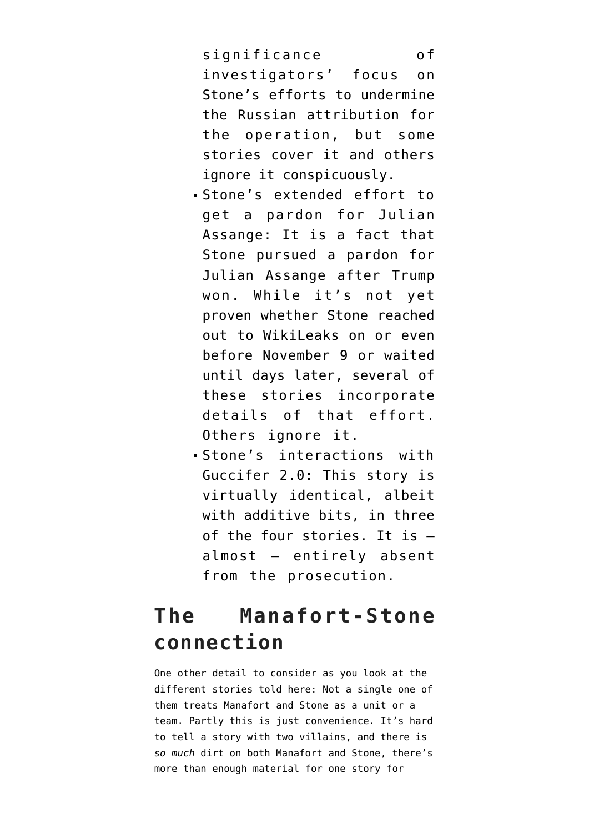significance of investigators' focus on Stone's efforts to undermine the Russian attribution for the operation, but some stories cover it and others ignore it conspicuously.

- Stone's extended effort to get a pardon for Julian Assange: It is a fact that Stone pursued a pardon for Julian Assange after Trump won. While it's not yet proven whether Stone reached out to WikiLeaks [on or even](https://www.emptywheel.net/2020/09/19/randy-credico-refuses-to-answer-whether-roger-stone-called-him-about-an-assange-pardon-on-november-9-2016/) [before November 9](https://www.emptywheel.net/2020/09/19/randy-credico-refuses-to-answer-whether-roger-stone-called-him-about-an-assange-pardon-on-november-9-2016/) or waited until days later, several of these stories incorporate details of that effort. Others ignore it.
- Stone's interactions with Guccifer 2.0: This story is virtually identical, albeit with additive bits, in three of the four stories. It is almost — entirely absent from the prosecution.

# **The Manafort-Stone connection**

One other detail to consider as you look at the different stories told here: Not a single one of them treats Manafort and Stone as a unit or a team. Partly this is just convenience. It's hard to tell a story with two villains, and there is *so much* dirt on both Manafort and Stone, there's more than enough material for one story for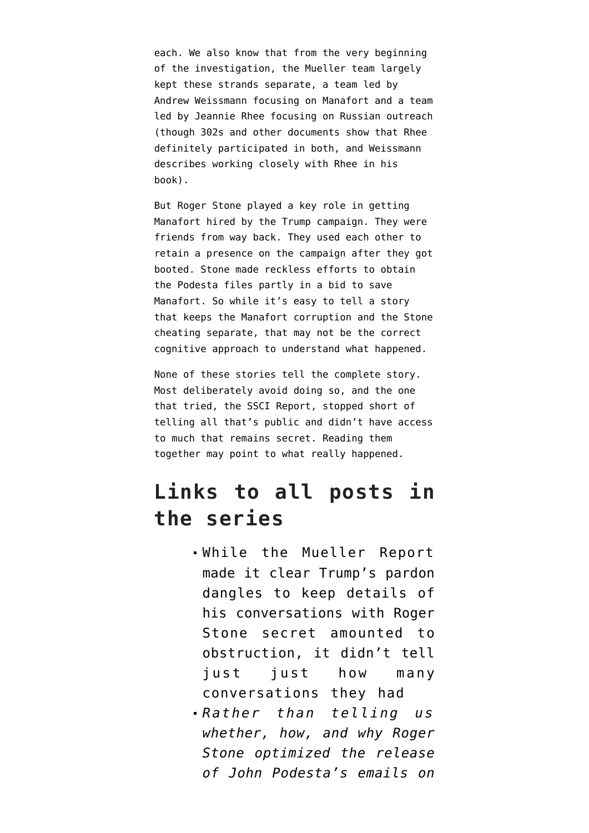each. We also know that from the very beginning of the investigation, the Mueller team largely kept these strands separate, a team led by Andrew Weissmann focusing on Manafort and a team led by Jeannie Rhee focusing on Russian outreach (though 302s and other documents show that Rhee definitely participated in both, and Weissmann describes working closely with Rhee in his book).

But Roger Stone played a key role in getting Manafort hired by the Trump campaign. They were friends from way back. They used each other to retain a presence on the campaign after they got booted. Stone made reckless efforts to obtain the Podesta files partly in a bid to save Manafort. So while it's easy to tell a story that keeps the Manafort corruption and the Stone cheating separate, that may not be the correct cognitive approach to understand what happened.

None of these stories tell the complete story. Most deliberately avoid doing so, and the one that tried, the SSCI Report, stopped short of telling all that's public and didn't have access to much that remains secret. Reading them together may point to what really happened.

## **Links to all posts in the series**

- [While the Mueller Report](https://www.emptywheel.net/2020/10/14/rat-fucker-rashomon-trumps-direct-line-to-the-rat-fucking/) [made it clear Trump's pardon](https://www.emptywheel.net/2020/10/14/rat-fucker-rashomon-trumps-direct-line-to-the-rat-fucking/) [dangles to keep details of](https://www.emptywheel.net/2020/10/14/rat-fucker-rashomon-trumps-direct-line-to-the-rat-fucking/) [his conversations with Roger](https://www.emptywheel.net/2020/10/14/rat-fucker-rashomon-trumps-direct-line-to-the-rat-fucking/) [Stone secret amounted to](https://www.emptywheel.net/2020/10/14/rat-fucker-rashomon-trumps-direct-line-to-the-rat-fucking/) [obstruction, it didn't tell](https://www.emptywheel.net/2020/10/14/rat-fucker-rashomon-trumps-direct-line-to-the-rat-fucking/) [just just how many](https://www.emptywheel.net/2020/10/14/rat-fucker-rashomon-trumps-direct-line-to-the-rat-fucking/) [conversations they had](https://www.emptywheel.net/2020/10/14/rat-fucker-rashomon-trumps-direct-line-to-the-rat-fucking/)
- *[Rather than telling us](https://www.emptywheel.net/2020/10/15/rat-fucker-rashomon-accessing-hollywood-cover-ups-of-the-russian-attribution/) [whether, how, and why Roger](https://www.emptywheel.net/2020/10/15/rat-fucker-rashomon-accessing-hollywood-cover-ups-of-the-russian-attribution/) [Stone optimized the release](https://www.emptywheel.net/2020/10/15/rat-fucker-rashomon-accessing-hollywood-cover-ups-of-the-russian-attribution/) [of John Podesta's emails on](https://www.emptywheel.net/2020/10/15/rat-fucker-rashomon-accessing-hollywood-cover-ups-of-the-russian-attribution/)*